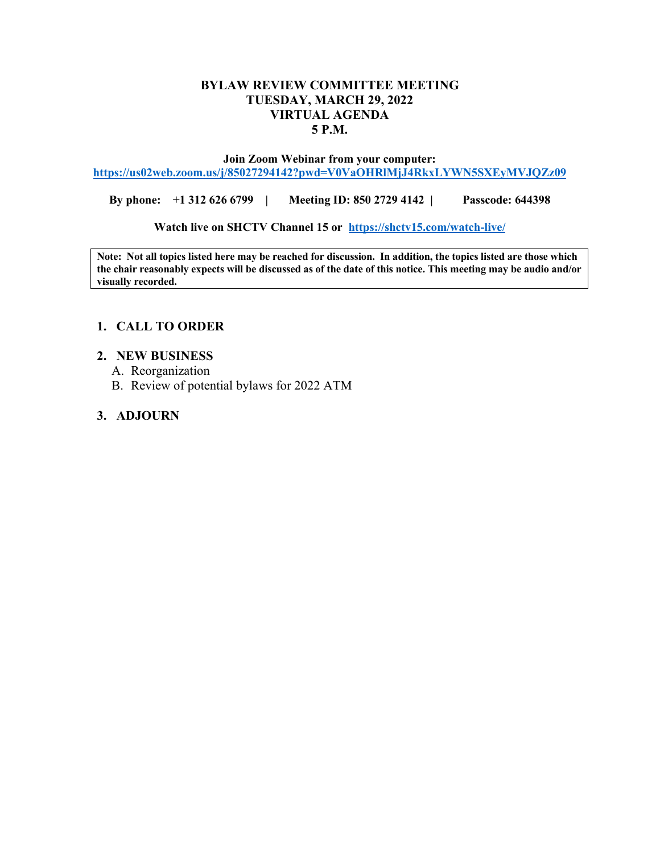## **BYLAW REVIEW COMMITTEE MEETING TUESDAY, MARCH 29, 2022 VIRTUAL AGENDA 5 P.M.**

**Join Zoom Webinar from your computer: <https://us02web.zoom.us/j/85027294142?pwd=V0VaOHRlMjJ4RkxLYWN5SXEyMVJQZz09>**

**By phone: +1 312 626 6799 | Meeting ID: 850 2729 4142 | Passcode: 644398**

**Watch live on SHCTV Channel 15 or <https://shctv15.com/watch-live/>**

**Note: Not all topics listed here may be reached for discussion. In addition, the topics listed are those which the chair reasonably expects will be discussed as of the date of this notice. This meeting may be audio and/or visually recorded.**

## **1. CALL TO ORDER**

### **2. NEW BUSINESS**

- A. Reorganization
- B. Review of potential bylaws for 2022 ATM

# **3. ADJOURN**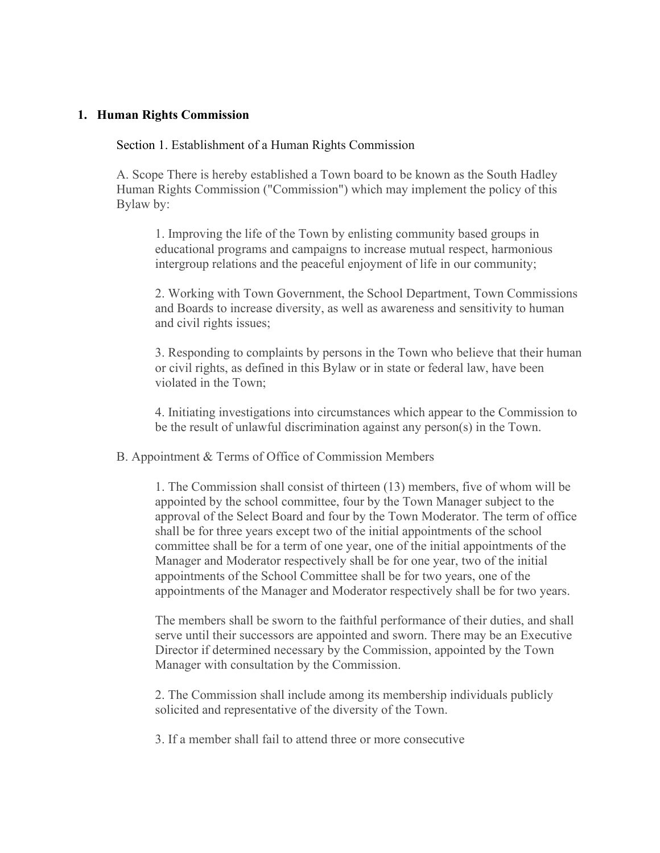## **1. Human Rights Commission**

#### Section 1. Establishment of a Human Rights Commission

A. Scope There is hereby established a Town board to be known as the South Hadley Human Rights Commission ("Commission") which may implement the policy of this Bylaw by:

1. Improving the life of the Town by enlisting community based groups in educational programs and campaigns to increase mutual respect, harmonious intergroup relations and the peaceful enjoyment of life in our community;

2. Working with Town Government, the School Department, Town Commissions and Boards to increase diversity, as well as awareness and sensitivity to human and civil rights issues;

3. Responding to complaints by persons in the Town who believe that their human or civil rights, as defined in this Bylaw or in state or federal law, have been violated in the Town;

4. Initiating investigations into circumstances which appear to the Commission to be the result of unlawful discrimination against any person(s) in the Town.

B. Appointment & Terms of Office of Commission Members

1. The Commission shall consist of thirteen (13) members, five of whom will be appointed by the school committee, four by the Town Manager subject to the approval of the Select Board and four by the Town Moderator. The term of office shall be for three years except two of the initial appointments of the school committee shall be for a term of one year, one of the initial appointments of the Manager and Moderator respectively shall be for one year, two of the initial appointments of the School Committee shall be for two years, one of the appointments of the Manager and Moderator respectively shall be for two years.

The members shall be sworn to the faithful performance of their duties, and shall serve until their successors are appointed and sworn. There may be an Executive Director if determined necessary by the Commission, appointed by the Town Manager with consultation by the Commission.

2. The Commission shall include among its membership individuals publicly solicited and representative of the diversity of the Town.

3. If a member shall fail to attend three or more consecutive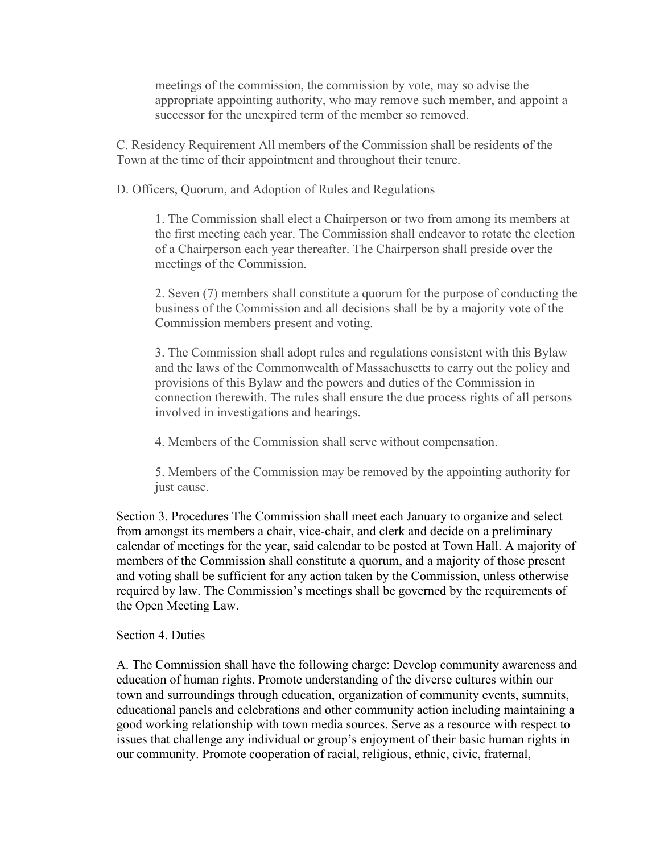meetings of the commission, the commission by vote, may so advise the appropriate appointing authority, who may remove such member, and appoint a successor for the unexpired term of the member so removed.

C. Residency Requirement All members of the Commission shall be residents of the Town at the time of their appointment and throughout their tenure.

D. Officers, Quorum, and Adoption of Rules and Regulations

1. The Commission shall elect a Chairperson or two from among its members at the first meeting each year. The Commission shall endeavor to rotate the election of a Chairperson each year thereafter. The Chairperson shall preside over the meetings of the Commission.

2. Seven (7) members shall constitute a quorum for the purpose of conducting the business of the Commission and all decisions shall be by a majority vote of the Commission members present and voting.

3. The Commission shall adopt rules and regulations consistent with this Bylaw and the laws of the Commonwealth of Massachusetts to carry out the policy and provisions of this Bylaw and the powers and duties of the Commission in connection therewith. The rules shall ensure the due process rights of all persons involved in investigations and hearings.

4. Members of the Commission shall serve without compensation.

5. Members of the Commission may be removed by the appointing authority for just cause.

Section 3. Procedures The Commission shall meet each January to organize and select from amongst its members a chair, vice-chair, and clerk and decide on a preliminary calendar of meetings for the year, said calendar to be posted at Town Hall. A majority of members of the Commission shall constitute a quorum, and a majority of those present and voting shall be sufficient for any action taken by the Commission, unless otherwise required by law. The Commission's meetings shall be governed by the requirements of the Open Meeting Law.

## Section 4. Duties

A. The Commission shall have the following charge: Develop community awareness and education of human rights. Promote understanding of the diverse cultures within our town and surroundings through education, organization of community events, summits, educational panels and celebrations and other community action including maintaining a good working relationship with town media sources. Serve as a resource with respect to issues that challenge any individual or group's enjoyment of their basic human rights in our community. Promote cooperation of racial, religious, ethnic, civic, fraternal,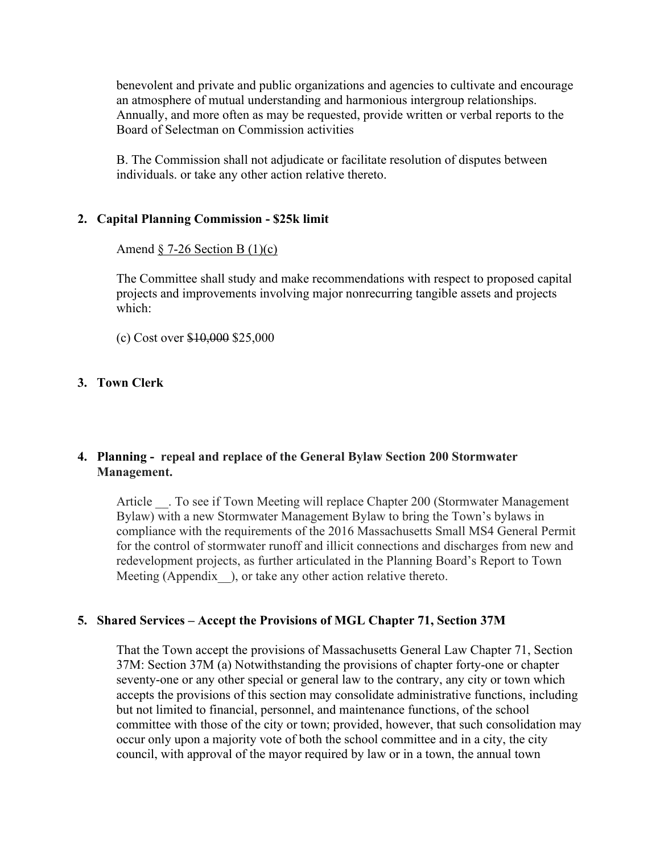benevolent and private and public organizations and agencies to cultivate and encourage an atmosphere of mutual understanding and harmonious intergroup relationships. Annually, and more often as may be requested, provide written or verbal reports to the Board of Selectman on Commission activities

B. The Commission shall not adjudicate or facilitate resolution of disputes between individuals. or take any other action relative thereto.

### **2. Capital Planning Commission - \$25k limit**

Amend  $\S$  7-26 Section B (1)(c)

The Committee shall study and make recommendations with respect to proposed capital projects and improvements involving major nonrecurring tangible assets and projects which:

(c) Cost over \$10,000 \$25,000

### **3. Town Clerk**

## **4. Planning - repeal and replace of the General Bylaw Section 200 Stormwater Management.**

Article . To see if Town Meeting will replace Chapter 200 (Stormwater Management Bylaw) with a new Stormwater Management Bylaw to bring the Town's bylaws in compliance with the requirements of the 2016 Massachusetts Small MS4 General Permit for the control of stormwater runoff and illicit connections and discharges from new and redevelopment projects, as further articulated in the Planning Board's Report to Town Meeting (Appendix ), or take any other action relative thereto.

#### **5. Shared Services – Accept the Provisions of MGL Chapter 71, Section 37M**

That the Town accept the provisions of Massachusetts General Law Chapter 71, Section 37M: Section 37M (a) Notwithstanding the provisions of chapter forty-one or chapter seventy-one or any other special or general law to the contrary, any city or town which accepts the provisions of this section may consolidate administrative functions, including but not limited to financial, personnel, and maintenance functions, of the school committee with those of the city or town; provided, however, that such consolidation may occur only upon a majority vote of both the school committee and in a city, the city council, with approval of the mayor required by law or in a town, the annual town